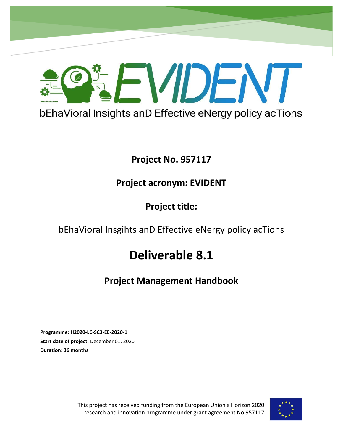

## **Project No. 957117**

## **Project acronym: EVIDENT**

## **Project title:**

## bEhaVioral Insgihts anD Effective eNergy policy acTions

# **Deliverable 8.1**

## **Project Management Handbook**

**Programme: H2020-LC-SC3-EE-2020-1 Start date of project:** December 01, 2020 **Duration: 36 months** 

> This project has received funding from the European Union's Horizon 2020 research and innovation programme under grant agreement No 957117

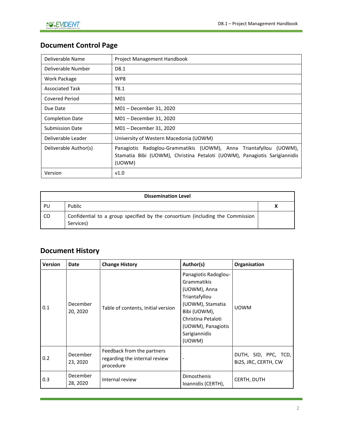## **Document Control Page**

| Deliverable Name       | Project Management Handbook                                                                                                                                  |  |  |
|------------------------|--------------------------------------------------------------------------------------------------------------------------------------------------------------|--|--|
| Deliverable Number     | D8.1                                                                                                                                                         |  |  |
| Work Package           | WP8                                                                                                                                                          |  |  |
| <b>Associated Task</b> | T8.1                                                                                                                                                         |  |  |
| Covered Period         | M01                                                                                                                                                          |  |  |
| Due Date               | M01 - December 31, 2020                                                                                                                                      |  |  |
| <b>Completion Date</b> | M01 - December 31, 2020                                                                                                                                      |  |  |
| <b>Submission Date</b> | M01 - December 31, 2020                                                                                                                                      |  |  |
| Deliverable Leader     | University of Western Macedonia (UOWM)                                                                                                                       |  |  |
| Deliverable Author(s)  | Radoglou-Grammatikis (UOWM), Anna Triantafyllou (UOWM),<br>Panagiotis<br>Stamatia Bibi (UOWM), Christina Petaloti (UOWM), Panagiotis Sarigiannidis<br>(UOWM) |  |  |
| Version                | V1.0                                                                                                                                                         |  |  |

|     | <b>Dissemination Level</b>                                                                 |  |
|-----|--------------------------------------------------------------------------------------------|--|
| PU  | Public                                                                                     |  |
| CO. | Confidential to a group specified by the consortium (including the Commission<br>Services) |  |

## **Document History**

| <b>Version</b> | Date                 | <b>Change History</b>                                                    | Author(s)                                                                                                                                                                       | Organisation                                 |
|----------------|----------------------|--------------------------------------------------------------------------|---------------------------------------------------------------------------------------------------------------------------------------------------------------------------------|----------------------------------------------|
| 0.1            | December<br>20, 2020 | Table of contents, Initial version                                       | Panagiotis Radoglou-<br>Grammatikis<br>(UOWM), Anna<br>Triantafyllou<br>(UOWM), Stamatia<br>Bibi (UOWM),<br>Christina Petaloti<br>(UOWM), Panagiotis<br>Sarigiannidis<br>(UOWM) | <b>UOWM</b>                                  |
| 0.2            | December<br>23, 2020 | Feedback from the partners<br>regarding the internal review<br>procedure |                                                                                                                                                                                 | DUTH, SID, PPC, TCD,<br>Bi2S, JRC, CERTH, CW |
| 0.3            | December<br>28, 2020 | Internal review                                                          | Dimosthenis<br>Ioannidis (CERTH),                                                                                                                                               | CERTH, DUTH                                  |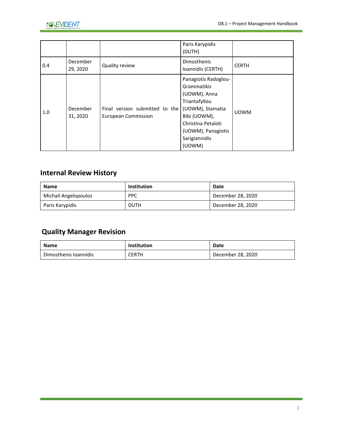

|     |                      |                                                              | Paris Karypidis<br>(DUTH)                                                                                                                                                       |              |
|-----|----------------------|--------------------------------------------------------------|---------------------------------------------------------------------------------------------------------------------------------------------------------------------------------|--------------|
| 0.4 | December<br>29, 2020 | Quality review                                               | Dimosthenis<br>Ioannidis (CERTH)                                                                                                                                                | <b>CERTH</b> |
| 1.0 | December<br>31, 2020 | Final version submitted to the<br><b>European Commission</b> | Panagiotis Radoglou-<br>Grammatikis<br>(UOWM), Anna<br>Triantafyllou<br>(UOWM), Stamatia<br>Bibi (UOWM),<br>Christina Petaloti<br>(UOWM), Panagiotis<br>Sarigiannidis<br>(UOWM) | <b>UOWM</b>  |

## **Internal Review History**

| Name                 | <b>Institution</b> | Date              |
|----------------------|--------------------|-------------------|
| Michail Angelopoulos | <b>PPC</b>         | December 28, 2020 |
| Paris Karypidis      | <b>DUTH</b>        | December 28, 2020 |

## **Quality Manager Revision**

| <b>Name</b>           | <b>Institution</b> | Date              |
|-----------------------|--------------------|-------------------|
| Dimosthenis Ioannidis | CERTH              | December 28, 2020 |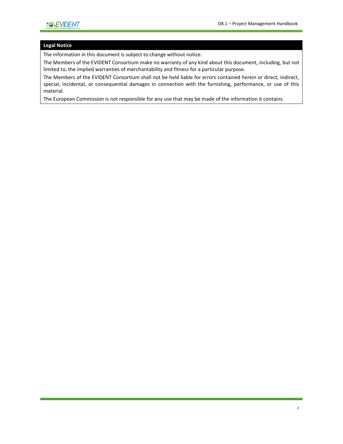#### **Legal Notice**

The information in this document is subject to change without notice.

The Members of the EVIDENT Consortium make no warranty of any kind about this document, including, but not limited to, the implied warranties of merchantability and fitness for a particular purpose.

The Members of the EVIDENT Consortium shall not be held liable for errors contained herein or direct, indirect, special, incidental, or consequential damages in connection with the furnishing, performance, or use of this material.

The European Commission is not responsible for any use that may be made of the information it contains.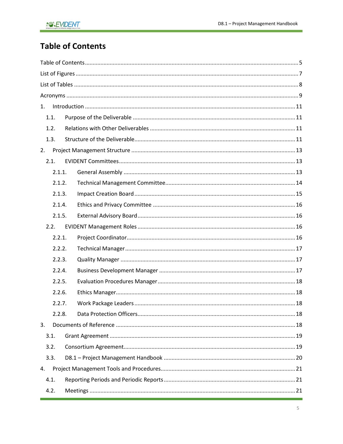## <span id="page-4-0"></span>**Table of Contents**

| 1.     |  |
|--------|--|
| 1.1.   |  |
| 1.2.   |  |
| 1.3.   |  |
| 2.     |  |
| 2.1.   |  |
| 2.1.1. |  |
| 2.1.2. |  |
| 2.1.3. |  |
| 2.1.4. |  |
| 2.1.5. |  |
| 2.2.   |  |
| 2.2.1. |  |
| 2.2.2. |  |
| 2.2.3. |  |
| 2.2.4. |  |
| 2.2.5. |  |
| 2.2.6. |  |
| 2.2.7. |  |
| 2.2.8. |  |
| 3.     |  |
| 3.1.   |  |
| 3.2.   |  |
| 3.3.   |  |
| 4.     |  |
| 4.1.   |  |
| 4.2.   |  |
|        |  |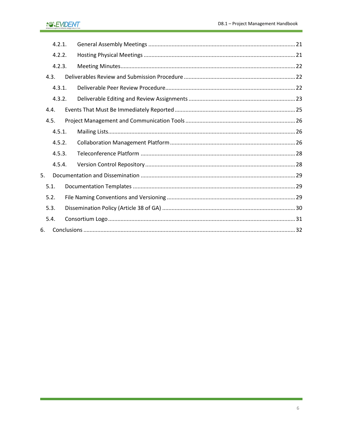### **AOREVIDENT**

| 4.2.1. |  |  |  |
|--------|--|--|--|
| 4.2.2. |  |  |  |
| 4.2.3. |  |  |  |
| 4.3.   |  |  |  |
| 4.3.1. |  |  |  |
| 4.3.2. |  |  |  |
| 4.4.   |  |  |  |
| 4.5.   |  |  |  |
| 4.5.1. |  |  |  |
| 4.5.2. |  |  |  |
| 4.5.3. |  |  |  |
| 4.5.4. |  |  |  |
| 5.     |  |  |  |
| 5.1.   |  |  |  |
| 5.2.   |  |  |  |
| 5.3.   |  |  |  |
| 5.4.   |  |  |  |
| 6.     |  |  |  |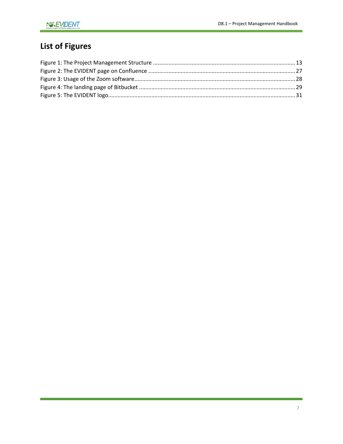## <span id="page-6-0"></span>**List of Figures**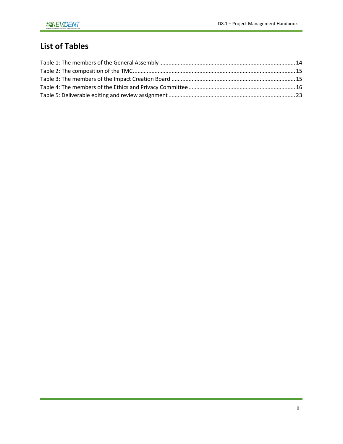## <span id="page-7-0"></span>**List of Tables**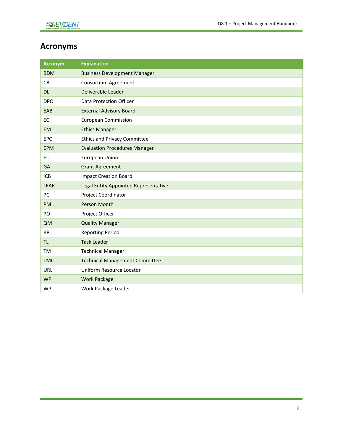## <span id="page-8-0"></span>**Acronyms**

| <b>Acronym</b> | <b>Explanation</b>                    |
|----------------|---------------------------------------|
| <b>BDM</b>     | <b>Business Development Manager</b>   |
| CA             | Consortium Agreement                  |
| <b>DL</b>      | Deliverable Leader                    |
| <b>DPO</b>     | Data Protection Officer               |
| EAB            | <b>External Advisory Board</b>        |
| EC             | <b>European Commission</b>            |
| <b>EM</b>      | <b>Ethics Manager</b>                 |
| <b>EPC</b>     | <b>Ethics and Privacy Committee</b>   |
| <b>EPM</b>     | <b>Evaluation Procedures Manager</b>  |
| EU             | European Union                        |
| GA             | <b>Grant Agreement</b>                |
| <b>ICB</b>     | <b>Impact Creation Board</b>          |
| <b>LEAR</b>    | Legal Entity Appointed Representative |
| PC             | Project Coordinator                   |
| <b>PM</b>      | Person Month                          |
| PO             | Project Officer                       |
| <b>QM</b>      | <b>Quality Manager</b>                |
| <b>RP</b>      | <b>Reporting Period</b>               |
| <b>TL</b>      | <b>Task Leader</b>                    |
| <b>TM</b>      | <b>Technical Manager</b>              |
| <b>TMC</b>     | <b>Technical Management Committee</b> |
| URL            | Uniform Resource Locator              |
| <b>WP</b>      | <b>Work Package</b>                   |
| <b>WPL</b>     | Work Package Leader                   |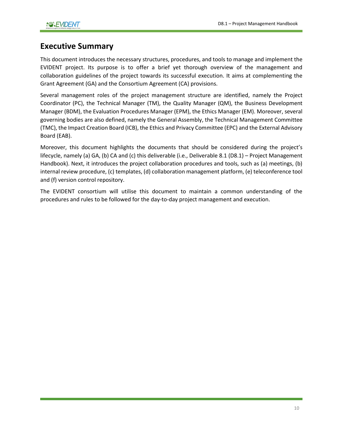## **Executive Summary**

This document introduces the necessary structures, procedures, and tools to manage and implement the EVIDENT project. Its purpose is to offer a brief yet thorough overview of the management and collaboration guidelines of the project towards its successful execution. It aims at complementing the Grant Agreement (GA) and the Consortium Agreement (CA) provisions.

Several management roles of the project management structure are identified, namely the Project Coordinator (PC), the Technical Manager (TM), the Quality Manager (QM), the Business Development Manager (BDM), the Evaluation Procedures Manager (EPM), the Ethics Manager (EM). Moreover, several governing bodies are also defined, namely the General Assembly, the Technical Management Committee (TMC), the Impact Creation Board (ICB), the Ethics and Privacy Committee (EPC) and the External Advisory Board (EAB).

Moreover, this document highlights the documents that should be considered during the project's lifecycle, namely (a) GA, (b) CA and (c) this deliverable (i.e., Deliverable 8.1 (D8.1) – Project Management Handbook). Next, it introduces the project collaboration procedures and tools, such as (a) meetings, (b) internal review procedure, (c) templates, (d) collaboration management platform, (e) teleconference tool and (f) version control repository.

The EVIDENT consortium will utilise this document to maintain a common understanding of the procedures and rules to be followed for the day-to-day project management and execution.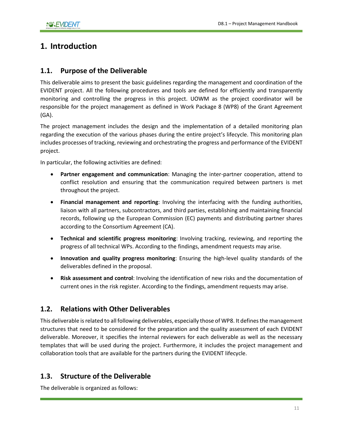## <span id="page-10-0"></span>**1. Introduction**

#### <span id="page-10-1"></span>**1.1. Purpose of the Deliverable**

This deliverable aims to present the basic guidelines regarding the management and coordination of the EVIDENT project. All the following procedures and tools are defined for efficiently and transparently monitoring and controlling the progress in this project. UOWM as the project coordinator will be responsible for the project management as defined in Work Package 8 (WP8) of the Grant Agreement (GA).

The project management includes the design and the implementation of a detailed monitoring plan regarding the execution of the various phases during the entire project's lifecycle. This monitoring plan includes processes of tracking, reviewing and orchestrating the progress and performance of the EVIDENT project.

In particular, the following activities are defined:

- **Partner engagement and communication**: Managing the inter-partner cooperation, attend to conflict resolution and ensuring that the communication required between partners is met throughout the project.
- **Financial management and reporting**: Involving the interfacing with the funding authorities, liaison with all partners, subcontractors, and third parties, establishing and maintaining financial records, following up the European Commission (EC) payments and distributing partner shares according to the Consortium Agreement (CA).
- **Technical and scientific progress monitoring**: Involving tracking, reviewing, and reporting the progress of all technical WPs. According to the findings, amendment requests may arise.
- **Innovation and quality progress monitoring**: Ensuring the high-level quality standards of the deliverables defined in the proposal.
- **Risk assessment and control**: Involving the identification of new risks and the documentation of current ones in the risk register. According to the findings, amendment requests may arise.

#### <span id="page-10-2"></span>**1.2. Relations with Other Deliverables**

This deliverable is related to all following deliverables, especially those of WP8. It defines the management structures that need to be considered for the preparation and the quality assessment of each EVIDENT deliverable. Moreover, it specifies the internal reviewers for each deliverable as well as the necessary templates that will be used during the project. Furthermore, it includes the project management and collaboration tools that are available for the partners during the EVIDENT lifecycle.

#### <span id="page-10-3"></span>**1.3. Structure of the Deliverable**

The deliverable is organized as follows: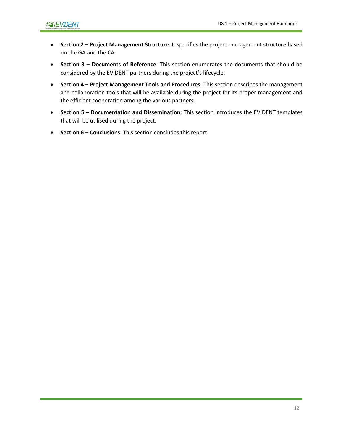- **Section 2 – Project Management Structure**: It specifies the project management structure based on the GA and the CA.
- **Section 3 – Documents of Reference**: This section enumerates the documents that should be considered by the EVIDENT partners during the project's lifecycle.
- **Section 4 – Project Management Tools and Procedures**: This section describes the management and collaboration tools that will be available during the project for its proper management and the efficient cooperation among the various partners.
- **Section 5 – Documentation and Dissemination**: This section introduces the EVIDENT templates that will be utilised during the project.
- **Section 6 – Conclusions**: This section concludes this report.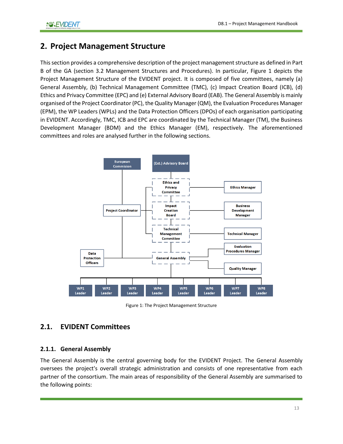## <span id="page-12-0"></span>**2. Project Management Structure**

This section provides a comprehensive description of the project management structure as defined in Part B of the GA (section 3.2 Management Structures and Procedures). In particular, [Figure 1](#page-12-3) depicts the Project Management Structure of the EVIDENT project. It is composed of five committees, namely (a) General Assembly, (b) Technical Management Committee (TMC), (c) Impact Creation Board (ICB), (d) Ethics and Privacy Committee (EPC) and (e) External Advisory Board (EAB). The General Assembly is mainly organised of the Project Coordinator (PC), the Quality Manager (QM), the Evaluation Procedures Manager (EPM), the WP Leaders (WPLs) and the Data Protection Officers (DPOs) of each organisation participating in EVIDENT. Accordingly, TMC, ICB and EPC are coordinated by the Technical Manager (TM), the Business Development Manager (BDM) and the Ethics Manager (EM), respectively. The aforementioned committees and roles are analysed further in the following sections.



Figure 1: The Project Management Structure

### <span id="page-12-3"></span><span id="page-12-1"></span>**2.1. EVIDENT Committees**

#### <span id="page-12-2"></span>**2.1.1. General Assembly**

The General Assembly is the central governing body for the EVIDENT Project. The General Assembly oversees the project's overall strategic administration and consists of one representative from each partner of the consortium. The main areas of responsibility of the General Assembly are summarised to the following points: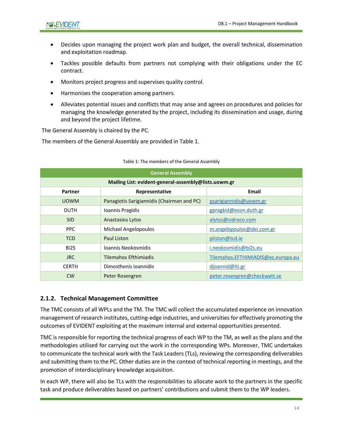- Decides upon managing the project work plan and budget, the overall technical, dissemination and exploitation roadmap.
- Tackles possible defaults from partners not complying with their obligations under the EC contract.
- Monitors project progress and supervises quality control.
- Harmonises the cooperation among partners.
- Alleviates potential issues and conflicts that may arise and agrees on procedures and policies for managing the knowledge generated by the project, including its dissemination and usage, during and beyond the project lifetime.

The General Assembly is chaired by the PC.

<span id="page-13-1"></span>The members of the General Assembly are provided i[n Table 1.](#page-13-1)

| <b>General Assembly</b>                              |                                            |                                    |  |
|------------------------------------------------------|--------------------------------------------|------------------------------------|--|
| Mailing List: evident-general-assembly@lists.uowm.gr |                                            |                                    |  |
| Partner                                              | Representative                             | Email                              |  |
| <b>UOWM</b>                                          | Panagiotis Sarigiannidis (Chairman and PC) | psarigiannidis@uowm.gr             |  |
| <b>DUTH</b>                                          | Ioannis Pragidis                           | gpragkid@econ.duth.gr              |  |
| <b>SID</b>                                           | <b>Anastasios Lytos</b>                    | alytos@sidroco.com                 |  |
| PPC.                                                 | Michael Angelopoulos                       | m.angelopoulos@dei.com.gr          |  |
| <b>TCD</b>                                           | Paul Liston                                | pliston@tcd.ie                     |  |
| Bi <sub>2</sub> S                                    | Joannis Neokosmidis                        | i.neokosmidis@bi2s.eu              |  |
| <b>JRC</b>                                           | Tilemahos Efthimiadis                      | Tilemahos.EFTHIMIADIS@ec.europa.eu |  |
| <b>CERTH</b>                                         | Dimosthenis Ioannidis                      | djoannid@iti.gr                    |  |
| <b>CW</b>                                            | Peter Rosengren                            | peter.rosengren@checkwatt.se       |  |

#### Table 1: The members of the General Assembly

#### <span id="page-13-0"></span>**2.1.2. Technical Management Committee**

The TMC consists of all WPLs and the TM. The TMC will collect the accumulated experience on innovation management of research institutes, cutting-edge industries, and universities for effectively promoting the outcomes of EVIDENT exploiting at the maximum internal and external opportunities presented.

TMC is responsible for reporting the technical progress of each WP to the TM, as well as the plans and the methodologies utilised for carrying out the work in the corresponding WPs. Moreover, TMC undertakes to communicate the technical work with the Task Leaders (TLs), reviewing the corresponding deliverables and submitting them to the PC. Other duties are in the context of technical reporting in meetings, and the promotion of interdisciplinary knowledge acquisition.

In each WP, there will also be TLs with the responsibilities to allocate work to the partners in the specific task and produce deliverables based on partners' contributions and submit them to the WP leaders.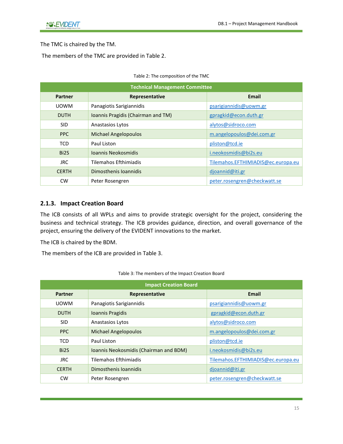The TMC is chaired by the TM.

<span id="page-14-1"></span>The members of the TMC are provided in [Table 2.](#page-14-1)

| <b>Technical Management Committee</b> |                                    |                                    |  |  |  |  |  |
|---------------------------------------|------------------------------------|------------------------------------|--|--|--|--|--|
| Partner                               | Representative                     | <b>Email</b>                       |  |  |  |  |  |
| <b>UOWM</b>                           | Panagiotis Sarigiannidis           | psarigiannidis@uowm.gr             |  |  |  |  |  |
| <b>DUTH</b>                           | Ioannis Pragidis (Chairman and TM) | gpragkid@econ.duth.gr              |  |  |  |  |  |
| <b>SID</b>                            | <b>Anastasios Lytos</b>            | alytos@sidroco.com                 |  |  |  |  |  |
| <b>PPC</b>                            | <b>Michael Angelopoulos</b>        | m.angelopoulos@dei.com.gr          |  |  |  |  |  |
| <b>TCD</b>                            | Paul Liston                        | pliston@tcd.ie                     |  |  |  |  |  |
| Bi <sub>2</sub> S                     | Joannis Neokosmidis                | i.neokosmidis@bi2s.eu              |  |  |  |  |  |
| <b>JRC</b>                            | Tilemahos Efthimiadis              | Tilemahos.EFTHIMIADIS@ec.europa.eu |  |  |  |  |  |
| <b>CERTH</b>                          | Dimosthenis Ioannidis              | djoannid@iti.gr                    |  |  |  |  |  |
| <b>CW</b>                             | Peter Rosengren                    | peter.rosengren@checkwatt.se       |  |  |  |  |  |

| Table 2: The composition of the TMC |  |  |  |
|-------------------------------------|--|--|--|
|-------------------------------------|--|--|--|

#### <span id="page-14-0"></span>**2.1.3. Impact Creation Board**

The ICB consists of all WPLs and aims to provide strategic oversight for the project, considering the business and technical strategy. The ICB provides guidance, direction, and overall governance of the project, ensuring the delivery of the EVIDENT innovations to the market.

The ICB is chaired by the BDM.

<span id="page-14-2"></span>The members of the ICB are provided in [Table 3.](#page-14-2)

| <b>Impact Creation Board</b> |                                        |                                    |  |  |  |  |  |
|------------------------------|----------------------------------------|------------------------------------|--|--|--|--|--|
| <b>Partner</b>               | Representative                         | Email                              |  |  |  |  |  |
| <b>UOWM</b>                  | Panagiotis Sarigiannidis               | psarigiannidis@uowm.gr             |  |  |  |  |  |
| <b>DUTH</b>                  | Ioannis Pragidis                       | gpragkid@econ.duth.gr              |  |  |  |  |  |
| SID                          | Anastasios Lytos                       | alytos@sidroco.com                 |  |  |  |  |  |
| <b>PPC</b>                   | <b>Michael Angelopoulos</b>            | m.angelopoulos@dei.com.gr          |  |  |  |  |  |
| <b>TCD</b>                   | Paul Liston                            | pliston@tcd.ie                     |  |  |  |  |  |
| Bi <sub>2</sub> S            | Ioannis Neokosmidis (Chairman and BDM) | i.neokosmidis@bi2s.eu              |  |  |  |  |  |
| JRC.                         | <b>Tilemahos Efthimiadis</b>           | Tilemahos.EFTHIMIADIS@ec.europa.eu |  |  |  |  |  |
| <b>CERTH</b>                 | Dimosthenis Ioannidis                  | djoannid@iti.gr                    |  |  |  |  |  |
| <b>CW</b>                    | Peter Rosengren                        | peter.rosengren@checkwatt.se       |  |  |  |  |  |

#### Table 3: The members of the Impact Creation Board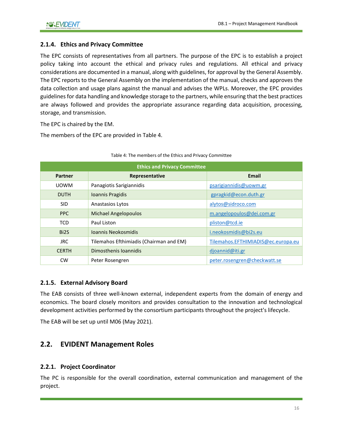#### <span id="page-15-0"></span>**2.1.4. Ethics and Privacy Committee**

The EPC consists of representatives from all partners. The purpose of the EPC is to establish a project policy taking into account the ethical and privacy rules and regulations. All ethical and privacy considerations are documented in a manual, along with guidelines, for approval by the General Assembly. The EPC reports to the General Assembly on the implementation of the manual, checks and approves the data collection and usage plans against the manual and advises the WPLs. Moreover, the EPC provides guidelines for data handling and knowledge storage to the partners, while ensuring that the best practices are always followed and provides the appropriate assurance regarding data acquisition, processing, storage, and transmission.

The EPC is chaired by the EM.

<span id="page-15-4"></span>The members of the EPC are provided in [Table 4.](#page-15-4)

| <b>Ethics and Privacy Committee</b> |                                         |                                    |  |  |  |  |  |
|-------------------------------------|-----------------------------------------|------------------------------------|--|--|--|--|--|
| Partner                             | Representative                          | <b>Email</b>                       |  |  |  |  |  |
| <b>UOWM</b>                         | Panagiotis Sarigiannidis                | psarigiannidis@uowm.gr             |  |  |  |  |  |
| <b>DUTH</b>                         | Ioannis Pragidis                        | gpragkid@econ.duth.gr              |  |  |  |  |  |
| <b>SID</b>                          | Anastasios Lytos                        | alytos@sidroco.com                 |  |  |  |  |  |
| <b>PPC</b>                          | <b>Michael Angelopoulos</b>             | m.angelopoulos@dei.com.gr          |  |  |  |  |  |
| <b>TCD</b>                          | Paul Liston                             | pliston@tcd.ie                     |  |  |  |  |  |
| Bi <sub>2</sub> S                   | Joannis Neokosmidis                     | i.neokosmidis@bi2s.eu              |  |  |  |  |  |
| JRC.                                | Tilemahos Efthimiadis (Chairman and EM) | Tilemahos.EFTHIMIADIS@ec.europa.eu |  |  |  |  |  |
| <b>CERTH</b>                        | Dimosthenis Ioannidis                   | djoannid@iti.gr                    |  |  |  |  |  |
| <b>CW</b>                           | Peter Rosengren                         | peter.rosengren@checkwatt.se       |  |  |  |  |  |

#### Table 4: The members of the Ethics and Privacy Committee

#### <span id="page-15-1"></span>**2.1.5. External Advisory Board**

The EAB consists of three well-known external, independent experts from the domain of energy and economics. The board closely monitors and provides consultation to the innovation and technological development activities performed by the consortium participants throughout the project's lifecycle.

<span id="page-15-2"></span>The EAB will be set up until M06 (May 2021).

#### **2.2. EVIDENT Management Roles**

#### <span id="page-15-3"></span>**2.2.1. Project Coordinator**

The PC is responsible for the overall coordination, external communication and management of the project.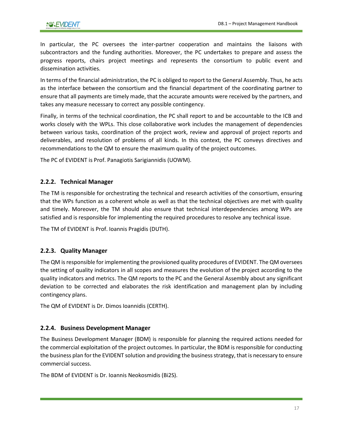In particular, the PC oversees the inter-partner cooperation and maintains the liaisons with subcontractors and the funding authorities. Moreover, the PC undertakes to prepare and assess the progress reports, chairs project meetings and represents the consortium to public event and dissemination activities.

In terms of the financial administration, the PC is obliged to report to the General Assembly. Thus, he acts as the interface between the consortium and the financial department of the coordinating partner to ensure that all payments are timely made, that the accurate amounts were received by the partners, and takes any measure necessary to correct any possible contingency.

Finally, in terms of the technical coordination, the PC shall report to and be accountable to the ICB and works closely with the WPLs. This close collaborative work includes the management of dependencies between various tasks, coordination of the project work, review and approval of project reports and deliverables, and resolution of problems of all kinds. In this context, the PC conveys directives and recommendations to the QM to ensure the maximum quality of the project outcomes.

<span id="page-16-0"></span>The PC of EVIDENT is Prof. Panagiotis Sarigiannidis (UOWM).

#### **2.2.2. Technical Manager**

The TM is responsible for orchestrating the technical and research activities of the consortium, ensuring that the WPs function as a coherent whole as well as that the technical objectives are met with quality and timely. Moreover, the TM should also ensure that technical interdependencies among WPs are satisfied and is responsible for implementing the required procedures to resolve any technical issue.

<span id="page-16-1"></span>The TM of EVIDENT is Prof. Ioannis Pragidis (DUTH).

#### **2.2.3. Quality Manager**

The QM is responsible for implementing the provisioned quality procedures of EVIDENT. The QM oversees the setting of quality indicators in all scopes and measures the evolution of the project according to the quality indicators and metrics. The QM reports to the PC and the General Assembly about any significant deviation to be corrected and elaborates the risk identification and management plan by including contingency plans.

<span id="page-16-2"></span>The QM of EVIDENT is Dr. Dimos Ioannidis (CERTH).

#### **2.2.4. Business Development Manager**

The Business Development Manager (BDM) is responsible for planning the required actions needed for the commercial exploitation of the project outcomes. In particular, the BDM is responsible for conducting the business plan for the EVIDENT solution and providing the business strategy, that is necessary to ensure commercial success.

The BDM of EVIDENT is Dr. Ioannis Neokosmidis (Bi2S).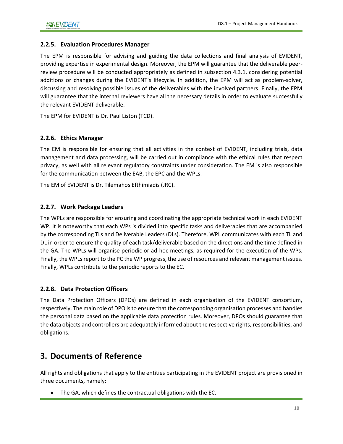#### <span id="page-17-0"></span>**2.2.5. Evaluation Procedures Manager**

The EPM is responsible for advising and guiding the data collections and final analysis of EVIDENT, providing expertise in experimental design. Moreover, the EPM will guarantee that the deliverable peerreview procedure will be conducted appropriately as defined in subsection 4.3.1, considering potential additions or changes during the EVIDENT's lifecycle. In addition, the EPM will act as problem-solver, discussing and resolving possible issues of the deliverables with the involved partners. Finally, the EPM will guarantee that the internal reviewers have all the necessary details in order to evaluate successfully the relevant EVIDENT deliverable.

The EPM for EVIDENT is Dr. Paul Liston (TCD).

#### <span id="page-17-1"></span>**2.2.6. Ethics Manager**

The EM is responsible for ensuring that all activities in the context of EVIDENT, including trials, data management and data processing, will be carried out in compliance with the ethical rules that respect privacy, as well with all relevant regulatory constraints under consideration. The EM is also responsible for the communication between the EAB, the EPC and the WPLs.

<span id="page-17-2"></span>The EM of EVIDENT is Dr. Tilemahos Efthimiadis (JRC).

#### **2.2.7. Work Package Leaders**

The WPLs are responsible for ensuring and coordinating the appropriate technical work in each EVIDENT WP. It is noteworthy that each WPs is divided into specific tasks and deliverables that are accompanied by the corresponding TLs and Deliverable Leaders (DLs). Therefore, WPL communicates with each TL and DL in order to ensure the quality of each task/deliverable based on the directions and the time defined in the GA. The WPLs will organise periodic or ad-hoc meetings, as required for the execution of the WPs. Finally, the WPLs report to the PC the WP progress, the use of resources and relevant management issues. Finally, WPLs contribute to the periodic reports to the EC.

#### <span id="page-17-3"></span>**2.2.8. Data Protection Officers**

The Data Protection Officers (DPOs) are defined in each organisation of the EVIDENT consortium, respectively. The main role of DPO is to ensure that the corresponding organisation processes and handles the personal data based on the applicable data protection rules. Moreover, DPOs should guarantee that the data objects and controllers are adequately informed about the respective rights, responsibilities, and obligations.

### <span id="page-17-4"></span>**3. Documents of Reference**

All rights and obligations that apply to the entities participating in the EVIDENT project are provisioned in three documents, namely:

• The GA, which defines the contractual obligations with the EC.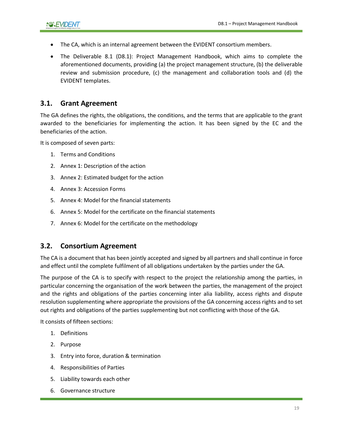- The CA, which is an internal agreement between the EVIDENT consortium members.
- The Deliverable 8.1 (D8.1): Project Management Handbook, which aims to complete the aforementioned documents, providing (a) the project management structure, (b) the deliverable review and submission procedure, (c) the management and collaboration tools and (d) the EVIDENT templates.

#### <span id="page-18-0"></span>**3.1. Grant Agreement**

The GA defines the rights, the obligations, the conditions, and the terms that are applicable to the grant awarded to the beneficiaries for implementing the action. It has been signed by the EC and the beneficiaries of the action.

It is composed of seven parts:

- 1. Terms and Conditions
- 2. Annex 1: Description of the action
- 3. Annex 2: Estimated budget for the action
- 4. Annex 3: Accession Forms
- 5. Annex 4: Model for the financial statements
- 6. Annex 5: Model for the certificate on the financial statements
- 7. Annex 6: Model for the certificate on the methodology

#### <span id="page-18-1"></span>**3.2. Consortium Agreement**

The CA is a document that has been jointly accepted and signed by all partners and shall continue in force and effect until the complete fulfilment of all obligations undertaken by the parties under the GA.

The purpose of the CA is to specify with respect to the project the relationship among the parties, in particular concerning the organisation of the work between the parties, the management of the project and the rights and obligations of the parties concerning inter alia liability, access rights and dispute resolution supplementing where appropriate the provisions of the GA concerning access rights and to set out rights and obligations of the parties supplementing but not conflicting with those of the GA.

It consists of fifteen sections:

- 1. Definitions
- 2. Purpose
- 3. Entry into force, duration & termination
- 4. Responsibilities of Parties
- 5. Liability towards each other
- 6. Governance structure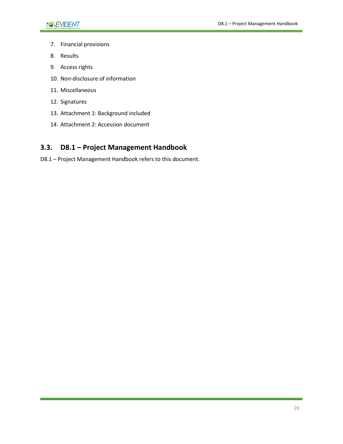- 7. Financial provisions
- 8. Results
- 9. Access rights
- 10. Non-disclosure of information
- 11. Miscellaneous
- 12. Signatures
- 13. Attachment 1: Background included
- 14. Attachment 2: Accession document

### <span id="page-19-0"></span>**3.3. D8.1 – Project Management Handbook**

D8.1 – Project Management Handbook refers to this document.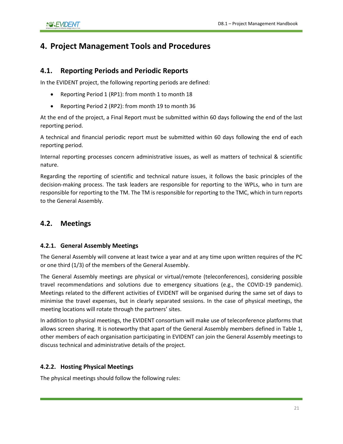### <span id="page-20-0"></span>**4. Project Management Tools and Procedures**

#### <span id="page-20-1"></span>**4.1. Reporting Periods and Periodic Reports**

In the EVIDENT project, the following reporting periods are defined:

- Reporting Period 1 (RP1): from month 1 to month 18
- Reporting Period 2 (RP2): from month 19 to month 36

At the end of the project, a Final Report must be submitted within 60 days following the end of the last reporting period.

A technical and financial periodic report must be submitted within 60 days following the end of each reporting period.

Internal reporting processes concern administrative issues, as well as matters of technical & scientific nature.

Regarding the reporting of scientific and technical nature issues, it follows the basic principles of the decision-making process. The task leaders are responsible for reporting to the WPLs, who in turn are responsible for reporting to the TM. The TM is responsible for reporting to the TMC, which in turn reports to the General Assembly.

#### <span id="page-20-3"></span><span id="page-20-2"></span>**4.2. Meetings**

#### **4.2.1. General Assembly Meetings**

The General Assembly will convene at least twice a year and at any time upon written requires of the PC or one third (1/3) of the members of the General Assembly.

The General Assembly meetings are physical or virtual/remote (teleconferences), considering possible travel recommendations and solutions due to emergency situations (e.g., the COVID-19 pandemic). Meetings related to the different activities of EVIDENT will be organised during the same set of days to minimise the travel expenses, but in clearly separated sessions. In the case of physical meetings, the meeting locations will rotate through the partners' sites.

In addition to physical meetings, the EVIDENT consortium will make use of teleconference platforms that allows screen sharing. It is noteworthy that apart of the General Assembly members defined in [Table 1,](#page-13-1) other members of each organisation participating in EVIDENT can join the General Assembly meetings to discuss technical and administrative details of the project.

#### <span id="page-20-4"></span>**4.2.2. Hosting Physical Meetings**

The physical meetings should follow the following rules: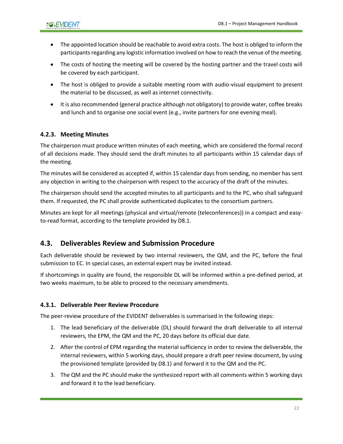- The appointed location should be reachable to avoid extra costs. The host is obliged to inform the participants regarding any logistic information involved on how to reach the venue of the meeting.
- The costs of hosting the meeting will be covered by the hosting partner and the travel costs will be covered by each participant.
- The host is obliged to provide a suitable meeting room with audio-visual equipment to present the material to be discussed, as well as internet connectivity.
- It is also recommended (general practice although not obligatory) to provide water, coffee breaks and lunch and to organise one social event (e.g., invite partners for one evening meal).

#### <span id="page-21-0"></span>**4.2.3. Meeting Minutes**

The chairperson must produce written minutes of each meeting, which are considered the formal record of all decisions made. They should send the draft minutes to all participants within 15 calendar days of the meeting.

The minutes will be considered as accepted if, within 15 calendar days from sending, no member has sent any objection in writing to the chairperson with respect to the accuracy of the draft of the minutes.

The chairperson should send the accepted minutes to all participants and to the PC, who shall safeguard them. If requested, the PC shall provide authenticated duplicates to the consortium partners.

Minutes are kept for all meetings (physical and virtual/remote (teleconferences)) in a compact and easyto-read format, according to the template provided by D8.1.

#### <span id="page-21-1"></span>**4.3. Deliverables Review and Submission Procedure**

Each deliverable should be reviewed by two internal reviewers, the QM, and the PC, before the final submission to EC. In special cases, an external expert may be invited instead.

If shortcomings in quality are found, the responsible DL will be informed within a pre-defined period, at two weeks maximum, to be able to proceed to the necessary amendments.

#### <span id="page-21-2"></span>**4.3.1. Deliverable Peer Review Procedure**

The peer-review procedure of the EVIDENT deliverables is summarised in the following steps:

- 1. The lead beneficiary of the deliverable (DL) should forward the draft deliverable to all internal reviewers, the EPM, the QM and the PC, 20 days before its official due date.
- 2. After the control of EPM regarding the material sufficiency in order to review the deliverable, the internal reviewers, within 5 working days, should prepare a draft peer review document, by using the provisioned template (provided by D8.1) and forward it to the QM and the PC.
- 3. The QM and the PC should make the synthesized report with all comments within 5 working days and forward it to the lead beneficiary.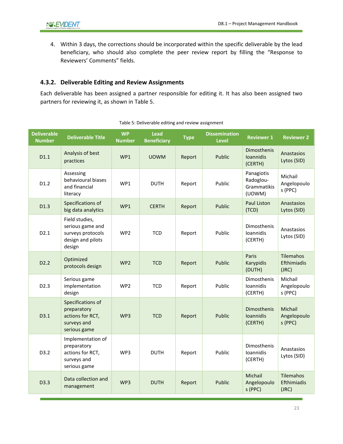4. Within 3 days, the corrections should be incorporated within the specific deliverable by the lead beneficiary, who should also complete the peer review report by filling the "Response to Reviewers' Comments" fields.

#### <span id="page-22-0"></span>**4.3.2. Deliverable Editing and Review Assignments**

<span id="page-22-1"></span>Each deliverable has been assigned a partner responsible for editing it. It has also been assigned two partners for reviewing it, as shown in [Table 5.](#page-22-1)

| <b>Deliverable</b><br><b>Number</b> | <b>Deliverable Title</b>                                                                                                          | <b>WP</b><br><b>Lead</b><br><b>Dissemination</b><br><b>Type</b><br><b>Beneficiary</b><br><b>Level</b><br><b>Number</b> |              | <b>Reviewer 1</b>                   | <b>Reviewer 2</b>         |                                                  |                                          |
|-------------------------------------|-----------------------------------------------------------------------------------------------------------------------------------|------------------------------------------------------------------------------------------------------------------------|--------------|-------------------------------------|---------------------------|--------------------------------------------------|------------------------------------------|
| D1.1                                | Analysis of best<br>practices                                                                                                     | WP1                                                                                                                    | <b>UOWM</b>  | Report                              | Public                    | Dimosthenis<br>Ioannidis<br>(CERTH)              | Anastasios<br>Lytos (SID)                |
| D1.2                                | Assessing<br>behavioural biases<br>and financial<br>literacy                                                                      | WP1                                                                                                                    | <b>DUTH</b>  | Public<br>Report                    |                           | Panagiotis<br>Radoglou-<br>Grammatikis<br>(UOWM) | Michail<br>Angelopoulo<br>s (PPC)        |
| D1.3                                | Specifications of<br>big data analytics                                                                                           | WP1                                                                                                                    | <b>CERTH</b> | Report                              | Public                    | <b>Paul Liston</b><br>(TCD)                      | Anastasios<br>Lytos (SID)                |
| D <sub>2.1</sub>                    | Field studies,<br>serious game and<br>surveys protocols<br><b>TCD</b><br>WP <sub>2</sub><br>Report<br>design and pilots<br>design |                                                                                                                        | Public       | Dimosthenis<br>Ioannidis<br>(CERTH) | Anastasios<br>Lytos (SID) |                                                  |                                          |
| D2.2                                | Optimized<br>protocols design                                                                                                     | WP <sub>2</sub>                                                                                                        | <b>TCD</b>   | Report                              | Public                    | Paris<br>Karypidis<br>(DUTH)                     | <b>Tilemahos</b><br>Efthimiadis<br>(JRC) |
| D <sub>2.3</sub>                    | Serious game<br>implementation<br>design                                                                                          | WP <sub>2</sub>                                                                                                        | <b>TCD</b>   | Report                              | Public                    | Dimosthenis<br>Ioannidis<br>(CERTH)              | Michail<br>Angelopoulo<br>s (PPC)        |
| D3.1                                | Specifications of<br>preparatory<br>actions for RCT,<br>surveys and<br>serious game                                               | WP3                                                                                                                    | <b>TCD</b>   | Report                              | Public                    | Dimosthenis<br>Ioannidis<br>(CERTH)              | Michail<br>Angelopoulo<br>s (PPC)        |
| D3.2                                | Implementation of<br>preparatory<br>actions for RCT,<br>surveys and<br>serious game                                               | WP3                                                                                                                    | <b>DUTH</b>  | Report                              | Public                    | Dimosthenis<br><b>Ioannidis</b><br>(CERTH)       | Anastasios<br>Lytos (SID)                |
| D3.3                                | Data collection and<br>management                                                                                                 | WP3                                                                                                                    | <b>DUTH</b>  | Report                              | Public                    | Michail<br>Angelopoulo<br>s (PPC)                | <b>Tilemahos</b><br>Efthimiadis<br>(JRC) |

| Table 5: Deliverable editing and review assignment |  |  |  |
|----------------------------------------------------|--|--|--|
|----------------------------------------------------|--|--|--|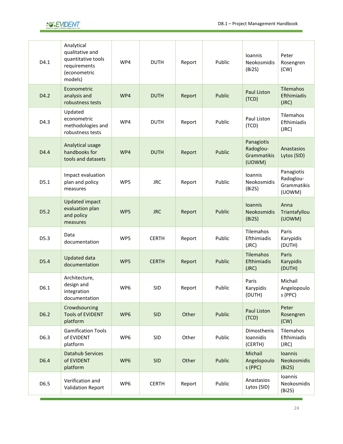

| D4.1 | Analytical<br>qualitative and<br>quantitative tools<br>requirements<br>(econometric<br>models) | WP4             | <b>DUTH</b>  | Report | Public | <b>Ioannis</b><br>Neokosmidis<br>(Bi2S)          | Peter<br>Rosengren<br>(CW)                       |
|------|------------------------------------------------------------------------------------------------|-----------------|--------------|--------|--------|--------------------------------------------------|--------------------------------------------------|
| D4.2 | Econometric<br>analysis and<br>robustness tests                                                | WP4             | <b>DUTH</b>  | Report | Public | <b>Paul Liston</b><br>(TCD)                      | <b>Tilemahos</b><br>Efthimiadis<br>(JRC)         |
| D4.3 | Updated<br>econometric<br>methodologies and<br>robustness tests                                | WP4             | <b>DUTH</b>  | Report | Public | Paul Liston<br>(TCD)                             | Tilemahos<br>Efthimiadis<br>(JRC)                |
| D4.4 | Analytical usage<br>handbooks for<br>tools and datasets                                        | WP4             | <b>DUTH</b>  | Report | Public | Panagiotis<br>Radoglou-<br>Grammatikis<br>(UOWM) | Anastasios<br>Lytos (SID)                        |
| D5.1 | Impact evaluation<br>plan and policy<br>measures                                               | WP5             | <b>JRC</b>   | Report | Public | <b>Ioannis</b><br>Neokosmidis<br>(Bi2S)          | Panagiotis<br>Radoglou-<br>Grammatikis<br>(UOWM) |
| D5.2 | <b>Updated impact</b><br>evaluation plan<br>and policy<br>measures                             | WP5             | <b>JRC</b>   | Report | Public | <b>Ioannis</b><br>Neokosmidis<br>(Bi2S)          | Anna<br>Triantafyllou<br>(UOWM)                  |
| D5.3 | Data<br>documentation                                                                          | WP5             | <b>CERTH</b> | Report | Public | Tilemahos<br>Efthimiadis<br>(JRC)                | Paris<br>Karypidis<br>(DUTH)                     |
| D5.4 | <b>Updated data</b><br>documentation                                                           | WP5             | <b>CERTH</b> | Report | Public | Tilemahos<br>Efthimiadis<br>(JRC)                | Paris<br>Karypidis<br>(DUTH)                     |
| D6.1 | Architecture,<br>design and<br>integration<br>documentation                                    | WP <sub>6</sub> | <b>SID</b>   | Report | Public | Paris<br>Karypidis<br>(DUTH)                     | Michail<br>Angelopoulo<br>s (PPC)                |
| D6.2 | Crowdsourcing<br><b>Tools of EVIDENT</b><br>platform                                           | WP6             | <b>SID</b>   | Other  | Public | Paul Liston<br>(TCD)                             | Peter<br>Rosengren<br>(CW)                       |
| D6.3 | <b>Gamification Tools</b><br>of EVIDENT<br>platform                                            | WP6             | <b>SID</b>   | Other  | Public | Dimosthenis<br>Ioannidis<br>(CERTH)              | Tilemahos<br>Efthimiadis<br>(JRC)                |
| D6.4 | <b>Datahub Services</b><br>of EVIDENT<br>platform                                              | WP6             | <b>SID</b>   | Other  | Public | Michail<br>Angelopoulo<br>s (PPC)                | Ioannis<br>Neokosmidis<br>(Bi2S)                 |
| D6.5 | Verification and<br><b>Validation Report</b>                                                   | WP6             | <b>CERTH</b> | Report | Public | Anastasios<br>Lytos (SID)                        | Ioannis<br>Neokosmidis<br>(Bi2S)                 |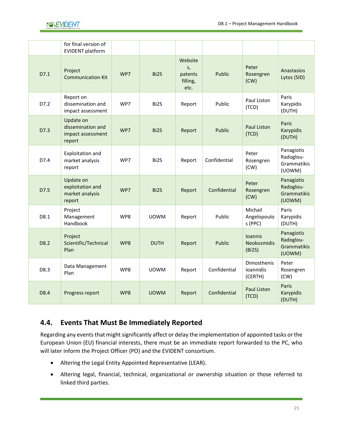

|      | for final version of<br><b>EVIDENT platform</b>               |     |                   |                                              |              |                                         |                                                  |
|------|---------------------------------------------------------------|-----|-------------------|----------------------------------------------|--------------|-----------------------------------------|--------------------------------------------------|
| D7.1 | Project<br><b>Communication Kit</b>                           | WP7 | Bi2S              | Website<br>S,<br>patents<br>filling,<br>etc. | Public       | Peter<br>Rosengren<br>(CW)              | Anastasios<br>Lytos (SID)                        |
| D7.2 | Report on<br>dissemination and<br>impact assessment           | WP7 | Bi2S              | Paul Liston<br>Public<br>Report<br>(TCD)     |              |                                         | Paris<br>Karypidis<br>(DUTH)                     |
| D7.3 | Update on<br>dissemination and<br>impact assessment<br>report | WP7 | Bi2S              | Report                                       | Public       | Paul Liston<br>(TCD)                    | Paris<br>Karypidis<br>(DUTH)                     |
| D7.4 | Exploitation and<br>market analysis<br>report                 | WP7 | Bi <sub>2</sub> S | Report                                       | Confidential | Peter<br>Rosengren<br>(CW)              | Panagiotis<br>Radoglou-<br>Grammatikis<br>(UOWM) |
| D7.5 | Update on<br>exploitation and<br>market analysis<br>report    | WP7 | Bi <sub>2</sub> S | Report                                       | Confidential | Peter<br>Rosengren<br>(CW)              | Panagiotis<br>Radoglou-<br>Grammatikis<br>(UOWM) |
| D8.1 | Project<br>Management<br>Handbook                             | WP8 | <b>UOWM</b>       | Report                                       | Public       | Michail<br>Angelopoulo<br>s (PPC)       | Paris<br>Karypidis<br>(DUTH)                     |
| D8.2 | Project<br>Scientific/Technical<br>Plan                       | WP8 | <b>DUTH</b>       | Report                                       | Public       | <b>Ioannis</b><br>Neokosmidis<br>(Bi2S) | Panagiotis<br>Radoglou-<br>Grammatikis<br>(UOWM) |
| D8.3 | Data Management<br>Plan                                       | WP8 | <b>UOWM</b>       | Report                                       | Confidential | Dimosthenis<br>Ioannidis<br>(CERTH)     | Peter<br>Rosengren<br>(CW)                       |
| D8.4 | Progress report                                               | WP8 | <b>UOWM</b>       | Report                                       | Confidential | Paul Liston<br>(TCD)                    | Paris<br>Karypidis<br>(DUTH)                     |

### <span id="page-24-0"></span>**4.4. Events That Must Be Immediately Reported**

Regarding any events that might significantly affect or delay the implementation of appointed tasks or the European Union (EU) financial interests, there must be an immediate report forwarded to the PC, who will later inform the Project Officer (PO) and the EVIDENT consortium.

- Altering the Legal Entity Appointed Representative (LEAR).
- Altering legal, financial, technical, organizational or ownership situation or those referred to linked third parties.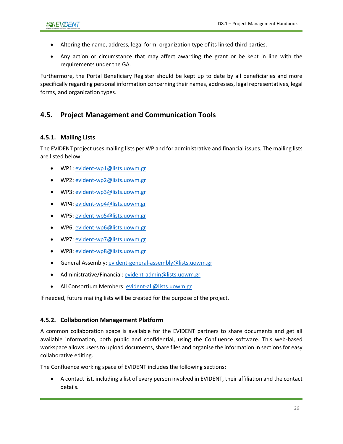- Altering the name, address, legal form, organization type of its linked third parties.
- Any action or circumstance that may affect awarding the grant or be kept in line with the requirements under the GA.

Furthermore, the Portal Beneficiary Register should be kept up to date by all beneficiaries and more specifically regarding personal information concerning their names, addresses, legal representatives, legal forms, and organization types.

### <span id="page-25-0"></span>**4.5. Project Management and Communication Tools**

#### <span id="page-25-1"></span>**4.5.1. Mailing Lists**

The EVIDENT project uses mailing lists per WP and for administrative and financial issues. The mailing lists are listed below:

- WP1[: evident-wp1@lists.uowm.gr](mailto:evident-wp1@lists.uowm.gr)
- WP2[: evident-wp2@lists.uowm.gr](mailto:evident-wp2@lists.uowm.gr)
- WP3[: evident-wp3@lists.uowm.gr](mailto:evident-wp3@lists.uowm.gr)
- WP4[: evident-wp4@lists.uowm.gr](mailto:evident-wp4@lists.uowm.gr)
- WP5[: evident-wp5@lists.uowm.gr](mailto:evident-wp5@lists.uowm.gr)
- WP6[: evident-wp6@lists.uowm.gr](mailto:evident-wp6@lists.uowm.gr)
- WP7[: evident-wp7@lists.uowm.gr](mailto:evident-wp7@lists.uowm.gr)
- WP8[: evident-wp8@lists.uowm.gr](mailto:evident-wp8@lists.uowm.gr)
- General Assembly[: evident-general-assembly@lists.uowm.gr](mailto:evident-general-assembly@lists.uowm.gr)
- Administrative/Financial[: evident-admin@lists.uowm.gr](mailto:evident-admin@lists.uowm.gr)
- All Consortium Members: [evident-all@lists.uowm.gr](mailto:evident-all@lists.uowm.gr)

If needed, future mailing lists will be created for the purpose of the project.

#### <span id="page-25-2"></span>**4.5.2. Collaboration Management Platform**

A common collaboration space is available for the EVIDENT partners to share documents and get all available information, both public and confidential, using the Confluence software. This web-based workspace allows users to upload documents, share files and organise the information in sections for easy collaborative editing.

The Confluence working space of EVIDENT includes the following sections:

• A contact list, including a list of every person involved in EVIDENT, their affiliation and the contact details.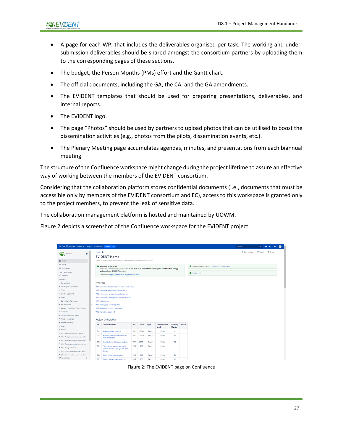- A page for each WP, that includes the deliverables organised per task. The working and undersubmission deliverables should be shared amongst the consortium partners by uploading them to the corresponding pages of these sections.
- The budget, the Person Months (PMs) effort and the Gantt chart.
- The official documents, including the GA, the CA, and the GA amendments.
- The EVIDENT templates that should be used for preparing presentations, deliverables, and internal reports.
- The EVIDENT logo.
- The page "Photos" should be used by partners to upload photos that can be utilised to boost the dissemination activities (e.g., photos from the pilots, dissemination events, etc.).
- The Plenary Meeting page accumulates agendas, minutes, and presentations from each biannual meeting.

The structure of the Confluence workspace might change during the project lifetime to assure an effective way of working between the members of the EVIDENT consortium.

Considering that the collaboration platform stores confidential documents (i.e., documents that must be accessible only by members of the EVIDENT consortium and EC), access to this workspace is granted only to the project members, to prevent the leak of sensitive data.

The collaboration management platform is hosted and maintained by UOWM.

[Figure 2](#page-26-0) depicts a screenshot of the Confluence workspace for the EVIDENT project.

| <b>≭ Confluence</b> Spaces v People Calendars             |                   | Create                                                                                                 |                 |              |        |                      |                 |               |                                                 | Search |  |  |
|-----------------------------------------------------------|-------------------|--------------------------------------------------------------------------------------------------------|-----------------|--------------|--------|----------------------|-----------------|---------------|-------------------------------------------------|--------|--|--|
| <b>OF EVIDENT</b><br>$\star$                              | Pages a           |                                                                                                        |                 |              |        |                      |                 |               |                                                 |        |  |  |
|                                                           |                   | <b>EVIDENT Home</b>                                                                                    |                 |              |        |                      |                 |               |                                                 |        |  |  |
| <b>图</b> Pages                                            |                   | Created by Dimitris Pliatsios, last modified by Panagiotis Radoglou-Grammatikis on Oct 08, 2020        |                 |              |        |                      |                 |               |                                                 |        |  |  |
| 99 Blog                                                   |                   | Welcome to EVIDENT                                                                                     |                 |              |        |                      |                 |               | How to work with Wiki: Confluence Documentation |        |  |  |
| Calendars                                                 |                   | This is the collaboration wiki space for the LC-SC3-EC-4-2020 bEhaVioral Insgihts anD Effective eNergy |                 |              |        |                      |                 |               |                                                 |        |  |  |
| SPACE SHORTCUTS                                           |                   | policy acTions (EVIDENT) project.<br><b>O</b> Contact List                                             |                 |              |        |                      |                 |               |                                                 |        |  |  |
| <b>C</b> File lists                                       |                   | Cordis Link: https://cordis.europa.eu/project/id/957117                                                |                 |              |        |                      |                 |               |                                                 |        |  |  |
| <b>PAGE TREE</b>                                          |                   |                                                                                                        |                 |              |        |                      |                 |               |                                                 |        |  |  |
| · Contact List                                            | <b>Activities</b> |                                                                                                        |                 |              |        |                      |                 |               |                                                 |        |  |  |
| · Security Advisory Board                                 |                   | WP1 Requirements and nature of behavioural biases                                                      |                 |              |        |                      |                 |               |                                                 |        |  |  |
| $-EEAB$                                                   |                   | WP2 Policy interventions and pilots design                                                             |                 |              |        |                      |                 |               |                                                 |        |  |  |
| · Grant Agreement                                         |                   | WP3 Intervention preparation and execution                                                             |                 |              |        |                      |                 |               |                                                 |        |  |  |
| $\cdot$ Part B                                            |                   | WP4 Econometric analysis and policy evaluation                                                         |                 |              |        |                      |                 |               |                                                 |        |  |  |
| * Consortium Agreement                                    |                   | <b>WPS Policy measures</b>                                                                             |                 |              |        |                      |                 |               |                                                 |        |  |  |
| · Amendments                                              |                   | WP6 Prototyping and integration                                                                        |                 |              |        |                      |                 |               |                                                 |        |  |  |
| . Budget / PMs Effort / Gantt Chart                       |                   | WP7 Dissemination and exploitation                                                                     |                 |              |        |                      |                 |               |                                                 |        |  |  |
| · Templates                                               |                   | <b>WP8 Project management</b>                                                                          |                 |              |        |                      |                 |               |                                                 |        |  |  |
| · General Assembly Telcos                                 |                   |                                                                                                        |                 |              |        |                      |                 |               |                                                 |        |  |  |
| > Plenary Meetings                                        |                   | <b>Project Deliverables</b>                                                                            |                 |              |        |                      |                 |               |                                                 |        |  |  |
| · Review Meetings                                         | ID                | <b>Deliverable Title</b>                                                                               | <b>WP</b>       | Leader       | Type   | <b>Dissemination</b> | Delivery        | <b>Status</b> |                                                 |        |  |  |
| * Logos                                                   |                   |                                                                                                        |                 |              |        | Level                | Month           |               |                                                 |        |  |  |
| · Photos                                                  | D1.1              | Analysis of best practices                                                                             | WP1             | <b>UOWM</b>  | Report | Public               | 6               |               |                                                 |        |  |  |
| > WP1 Requirements and nature of                          | D1.2              | Assessing behavioural biases and                                                                       | WP1             | <b>DUTH</b>  | Report | Public               | 12              |               |                                                 |        |  |  |
| > WP2 Policy interventions and pilo                       |                   | financial literacy                                                                                     |                 |              |        |                      |                 |               |                                                 |        |  |  |
| > WP3 Intervention preparation and                        | D <sub>1.3</sub>  | Specifications of big data analytics                                                                   | WP1             | <b>CERTH</b> | Report | Public               | 14              |               |                                                 |        |  |  |
| > WP4 Econometric analysis and po                         | D <sub>2.1</sub>  | Field studies, serious game and                                                                        | WP2             | <b>TCD</b>   | Report | Public               | $\overline{9}$  |               |                                                 |        |  |  |
| > WP5 Policy measures                                     |                   | surveys protocols design and pilots                                                                    |                 |              |        |                      |                 |               |                                                 |        |  |  |
| > WP6 Prototyping and integration                         |                   | design                                                                                                 |                 |              |        |                      |                 |               |                                                 |        |  |  |
| > WP7 Dissemination and emloitati<br><b>O</b> Space tools | D <sub>2.2</sub>  | Optimized protocols design                                                                             | WP2             | <b>TCD</b>   | Report | Public               | 24              |               |                                                 |        |  |  |
| $\mathsf{cc}$                                             |                   | D2.3 Serious game implementation                                                                       | WP <sub>2</sub> | <b>TCD</b>   | Report | Public               | 12 <sup>°</sup> |               |                                                 |        |  |  |

<span id="page-26-0"></span>Figure 2: The EVIDENT page on Confluence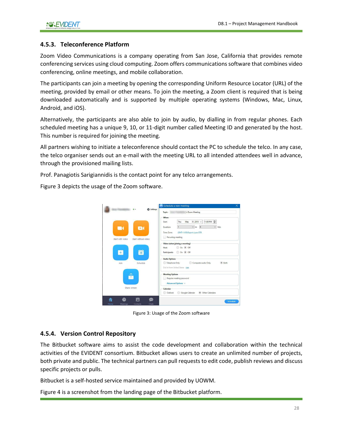#### <span id="page-27-0"></span>**4.5.3. Teleconference Platform**

Zoom Video Communications is a company operating from San Jose, California that provides remote conferencing services using cloud computing. Zoom offers communications software that combines video conferencing, online meetings, and mobile collaboration.

The participants can join a meeting by opening the corresponding Uniform Resource Locator (URL) of the meeting, provided by email or other means. To join the meeting, a Zoom client is required that is being downloaded automatically and is supported by multiple operating systems (Windows, Mac, Linux, Android, and iOS).

Alternatively, the participants are also able to join by audio, by dialling in from regular phones. Each scheduled meeting has a unique 9, 10, or 11-digit number called Meeting ID and generated by the host. This number is required for joining the meeting.

All partners wishing to initiate a teleconference should contact the PC to schedule the telco. In any case, the telco organiser sends out an e-mail with the meeting URL to all intended attendees well in advance, through the provisioned mailing lists.

Prof. Panagiotis Sarigiannidis is the contact point for any telco arrangements.

[Figure 3](#page-27-2) depicts the usage of the Zoom software.



Figure 3: Usage of the Zoom software

#### <span id="page-27-2"></span><span id="page-27-1"></span>**4.5.4. Version Control Repository**

The Bitbucket software aims to assist the code development and collaboration within the technical activities of the EVIDENT consortium. Bitbucket allows users to create an unlimited number of projects, both private and public. The technical partners can pull requests to edit code, publish reviews and discuss specific projects or pulls.

Bitbucket is a self-hosted service maintained and provided by UOWM.

[Figure 4](#page-28-3) is a screenshot from the landing page of the Bitbucket platform.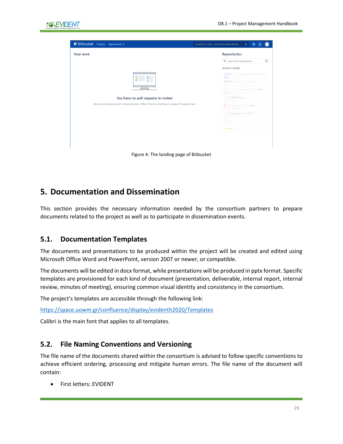

| Your work                                                                                        | <b>Repositories</b>                                         |
|--------------------------------------------------------------------------------------------------|-------------------------------------------------------------|
|                                                                                                  | $\odot$<br>Q Search for repositories                        |
|                                                                                                  | <b>RECENTLY VIEWED</b>                                      |
|                                                                                                  | Port Feature Extractor Aggreg.<br>SDN Controller Statistics |
|                                                                                                  | Port Feature Extractors<br><b>DN Controller Statistic</b>   |
|                                                                                                  | ort Fonture Extractor JSON<br>SDN Controller Statistic      |
| You have no pull requests to review                                                              | UOWM smod<br><b>UOWM Smod</b>                               |
| All your pull requests and reviews are done. When there's something to review it'll appear here. | Single Switch Topolgy<br>Mininet Topologies                 |
|                                                                                                  | Simple STP Tenolony<br>Mininet Topologies                   |
|                                                                                                  | greg on<br>Came theory intent.                              |
|                                                                                                  | NeuralPot<br><b>ALL</b> NeuralPo                            |
|                                                                                                  |                                                             |

### <span id="page-28-3"></span><span id="page-28-0"></span>**5. Documentation and Dissemination**

This section provides the necessary information needed by the consortium partners to prepare documents related to the project as well as to participate in dissemination events.

#### <span id="page-28-1"></span>**5.1. Documentation Templates**

The documents and presentations to be produced within the project will be created and edited using Microsoft Office Word and PowerPoint, version 2007 or newer, or compatible.

The documents will be edited in docx format, while presentations will be produced in pptx format. Specific templates are provisioned for each kind of document (presentation, deliverable, internal report, internal review, minutes of meeting), ensuring common visual identity and consistency in the consortium.

The project's templates are accessible through the following link:

<https://space.uowm.gr/confluence/display/evidenth2020/Templates>

<span id="page-28-2"></span>Calibri is the main font that applies to all templates.

#### **5.2. File Naming Conventions and Versioning**

The file name of the documents shared within the consortium is advised to follow specific conventions to achieve efficient ordering, processing and mitigate human errors. The file name of the document will contain:

• First letters: EVIDENT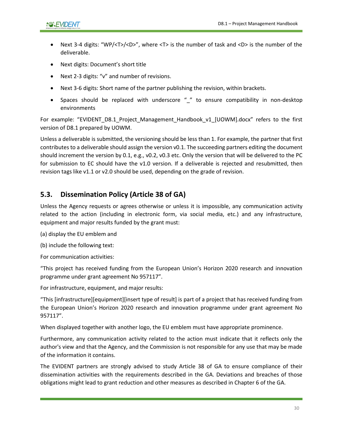- Next 3-4 digits: "WP/<T>/<D>", where <T> is the number of task and <D> is the number of the deliverable.
- Next digits: Document's short title
- Next 2-3 digits: "v" and number of revisions.
- Next 3-6 digits: Short name of the partner publishing the revision, within brackets.
- Spaces should be replaced with underscore " " to ensure compatibility in non-desktop environments

For example: "EVIDENT\_D8.1\_Project\_Management\_Handbook\_v1\_[UOWM].docx" refers to the first version of D8.1 prepared by UOWM.

Unless a deliverable is submitted, the versioning should be less than 1. For example, the partner that first contributes to a deliverable should assign the version v0.1. The succeeding partners editing the document should increment the version by 0.1, e.g., v0.2, v0.3 etc. Only the version that will be delivered to the PC for submission to EC should have the v1.0 version. If a deliverable is rejected and resubmitted, then revision tags like v1.1 or v2.0 should be used, depending on the grade of revision.

#### <span id="page-29-0"></span>**5.3. Dissemination Policy (Article 38 of GA)**

Unless the Agency requests or agrees otherwise or unless it is impossible, any communication activity related to the action (including in electronic form, via social media, etc.) and any infrastructure, equipment and major results funded by the grant must:

(a) display the EU emblem and

(b) include the following text:

For communication activities:

"This project has received funding from the European Union's Horizon 2020 research and innovation programme under grant agreement No 957117".

For infrastructure, equipment, and major results:

"This [infrastructure][equipment][insert type of result] is part of a project that has received funding from the European Union's Horizon 2020 research and innovation programme under grant agreement No 957117".

When displayed together with another logo, the EU emblem must have appropriate prominence.

Furthermore, any communication activity related to the action must indicate that it reflects only the author's view and that the Agency, and the Commission is not responsible for any use that may be made of the information it contains.

The EVIDENT partners are strongly advised to study Article 38 of GA to ensure compliance of their dissemination activities with the requirements described in the GA. Deviations and breaches of those obligations might lead to grant reduction and other measures as described in Chapter 6 of the GA.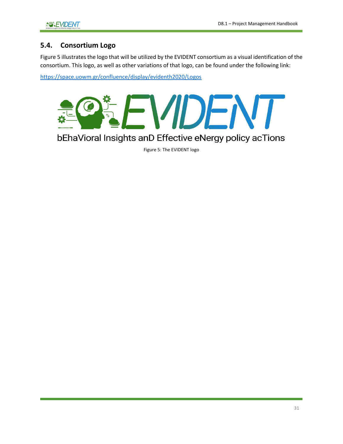### <span id="page-30-0"></span>**5.4. Consortium Logo**

Figure 5 illustrates the logo that will be utilized by the EVIDENT consortium as a visual identification of the consortium. This logo, as well as other variations of that logo, can be found under the following link:

<https://space.uowm.gr/confluence/display/evidenth2020/Logos>



<span id="page-30-1"></span>bEhaVioral Insights anD Effective eNergy policy acTions

Figure 5: The EVIDENT logo